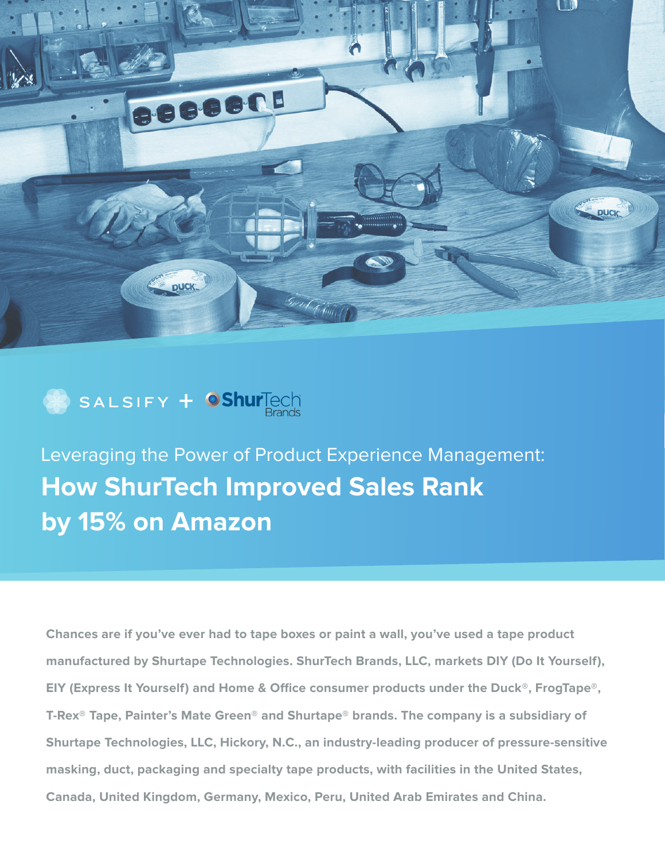



Leveraging the Power of Product Experience Management: **How ShurTech Improved Sales Rank by 15% on Amazon**

**Chances are if you've ever had to tape boxes or paint a wall, you've used a tape product manufactured by Shurtape Technologies. ShurTech Brands, LLC, markets DIY (Do It Yourself), EIY (Express It Yourself) and Home & Office consumer products under the Duck®, FrogTape®, T-Rex® Tape, Painter's Mate Green® and Shurtape® brands. The company is a subsidiary of Shurtape Technologies, LLC, Hickory, N.C., an industry-leading producer of pressure-sensitive masking, duct, packaging and specialty tape products, with facilities in the United States, Canada, United Kingdom, Germany, Mexico, Peru, United Arab Emirates and China.**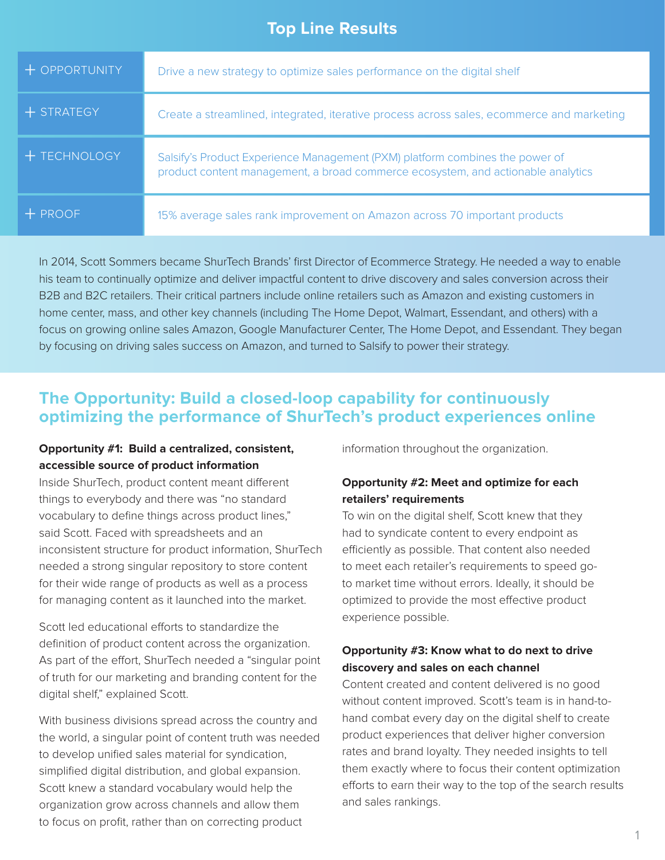# **Top Line Results**

| $+$ OPPORTUNITY | Drive a new strategy to optimize sales performance on the digital shelf                                                                                          |
|-----------------|------------------------------------------------------------------------------------------------------------------------------------------------------------------|
| $+$ STRATEGY    | Create a streamlined, integrated, iterative process across sales, ecommerce and marketing                                                                        |
| + TECHNOLOGY    | Salsify's Product Experience Management (PXM) platform combines the power of<br>product content management, a broad commerce ecosystem, and actionable analytics |
| $+$ PROOF       | 15% average sales rank improvement on Amazon across 70 important products                                                                                        |

In 2014, Scott Sommers became ShurTech Brands' first Director of Ecommerce Strategy. He needed a way to enable his team to continually optimize and deliver impactful content to drive discovery and sales conversion across their B2B and B2C retailers. Their critical partners include online retailers such as Amazon and existing customers in home center, mass, and other key channels (including The Home Depot, Walmart, Essendant, and others) with a focus on growing online sales Amazon, Google Manufacturer Center, The Home Depot, and Essendant. They began by focusing on driving sales success on Amazon, and turned to Salsify to power their strategy.

# **The Opportunity: Build a closed-loop capability for continuously optimizing the performance of ShurTech's product experiences online**

### **Opportunity #1: Build a centralized, consistent, accessible source of product information**

Inside ShurTech, product content meant different things to everybody and there was "no standard vocabulary to define things across product lines," said Scott. Faced with spreadsheets and an inconsistent structure for product information, ShurTech needed a strong singular repository to store content for their wide range of products as well as a process for managing content as it launched into the market.

Scott led educational efforts to standardize the definition of product content across the organization. As part of the effort, ShurTech needed a "singular point" of truth for our marketing and branding content for the digital shelf," explained Scott.

With business divisions spread across the country and the world, a singular point of content truth was needed to develop unified sales material for syndication, simplified digital distribution, and global expansion. Scott knew a standard vocabulary would help the organization grow across channels and allow them to focus on profit, rather than on correcting product

information throughout the organization.

## **Opportunity #2: Meet and optimize for each retailers' requirements**

To win on the digital shelf, Scott knew that they had to syndicate content to every endpoint as efficiently as possible. That content also needed to meet each retailer's requirements to speed goto market time without errors. Ideally, it should be optimized to provide the most effective product experience possible.

### **Opportunity #3: Know what to do next to drive discovery and sales on each channel**

Content created and content delivered is no good without content improved. Scott's team is in hand-tohand combat every day on the digital shelf to create product experiences that deliver higher conversion rates and brand loyalty. They needed insights to tell them exactly where to focus their content optimization efforts to earn their way to the top of the search results and sales rankings.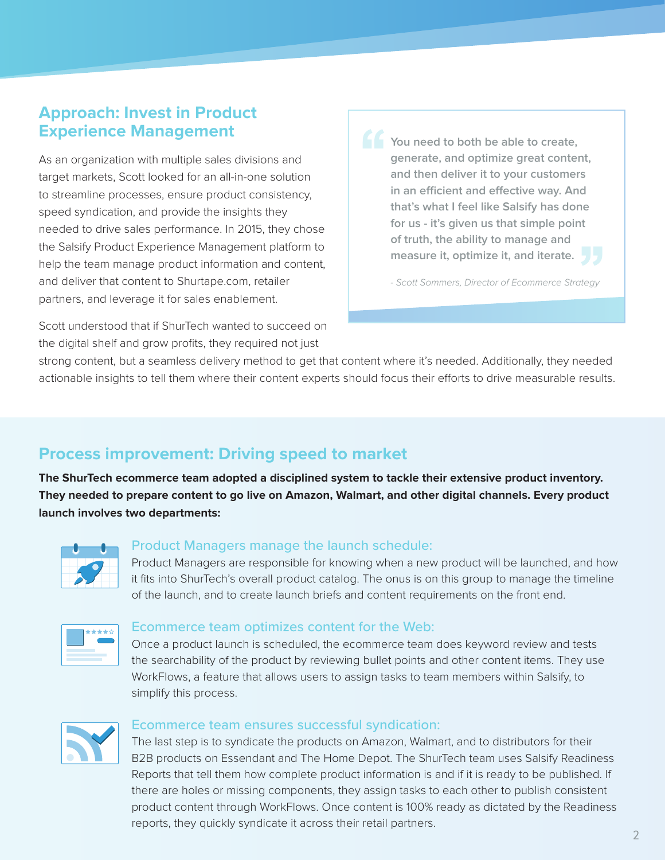# **Approach: Invest in Product Experience Management**

As an organization with multiple sales divisions and target markets, Scott looked for an all-in-one solution to streamline processes, ensure product consistency, speed syndication, and provide the insights they needed to drive sales performance. In 2015, they chose the Salsify Product Experience Management platform to help the team manage product information and content, and deliver that content to Shurtape.com, retailer partners, and leverage it for sales enablement.

Scott understood that if ShurTech wanted to succeed on the digital shelf and grow profits, they required not just

**You need to both be able to create, generate, and optimize great content, and then deliver it to your customers in an efficient and effective way. And that's what I feel like Salsify has done for us - it's given us that simple point of truth, the ability to manage and measure it, optimize it, and iterate.** 

- Scott Sommers, Director of Ecommerce Strategy

strong content, but a seamless delivery method to get that content where it's needed. Additionally, they needed actionable insights to tell them where their content experts should focus their efforts to drive measurable results.

# **Process improvement: Driving speed to market**

**The ShurTech ecommerce team adopted a disciplined system to tackle their extensive product inventory. They needed to prepare content to go live on Amazon, Walmart, and other digital channels. Every product launch involves two departments:**



#### Product Managers manage the launch schedule:

Product Managers are responsible for knowing when a new product will be launched, and how it fits into ShurTech's overall product catalog. The onus is on this group to manage the timeline of the launch, and to create launch briefs and content requirements on the front end.



#### Ecommerce team optimizes content for the Web:

Once a product launch is scheduled, the ecommerce team does keyword review and tests the searchability of the product by reviewing bullet points and other content items. They use WorkFlows, a feature that allows users to assign tasks to team members within Salsify, to simplify this process.



#### Ecommerce team ensures successful syndication:

The last step is to syndicate the products on Amazon, Walmart, and to distributors for their B2B products on Essendant and The Home Depot. The ShurTech team uses Salsify Readiness Reports that tell them how complete product information is and if it is ready to be published. If there are holes or missing components, they assign tasks to each other to publish consistent product content through WorkFlows. Once content is 100% ready as dictated by the Readiness reports, they quickly syndicate it across their retail partners.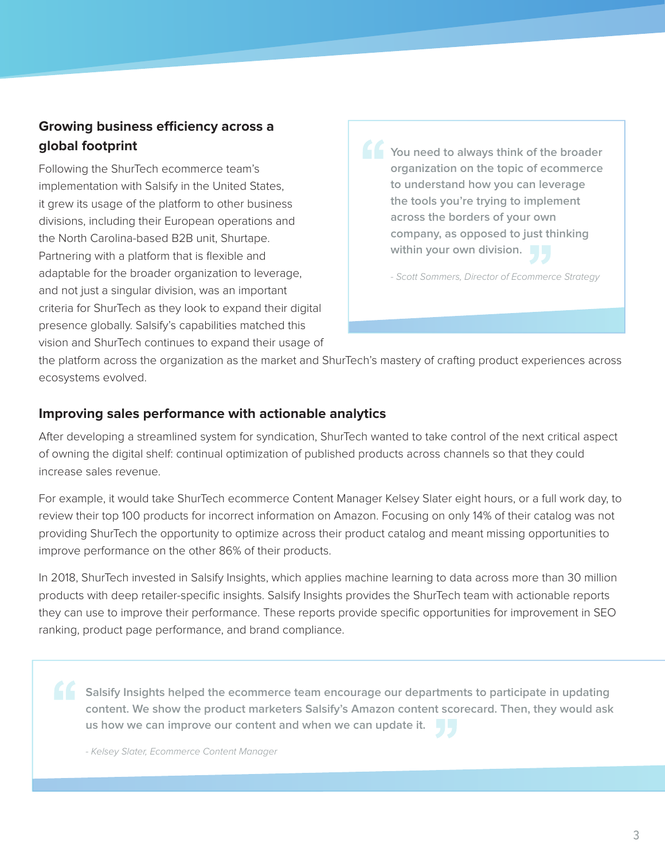# **Growing business efficiency across a global footprint**

Following the ShurTech ecommerce team's implementation with Salsify in the United States, it grew its usage of the platform to other business divisions, including their European operations and the North Carolina-based B2B unit, Shurtape. Partnering with a platform that is flexible and adaptable for the broader organization to leverage, and not just a singular division, was an important criteria for ShurTech as they look to expand their digital presence globally. Salsify's capabilities matched this vision and ShurTech continues to expand their usage of **You need to always think of the broader organization on the topic of ecommerce to understand how you can leverage the tools you're trying to implement across the borders of your own company, as opposed to just thinking within your own division.** 

- Scott Sommers, Director of Ecommerce Strategy

the platform across the organization as the market and ShurTech's mastery of crafting product experiences across ecosystems evolved.

## **Improving sales performance with actionable analytics**

After developing a streamlined system for syndication, ShurTech wanted to take control of the next critical aspect of owning the digital shelf: continual optimization of published products across channels so that they could increase sales revenue.

For example, it would take ShurTech ecommerce Content Manager Kelsey Slater eight hours, or a full work day, to review their top 100 products for incorrect information on Amazon. Focusing on only 14% of their catalog was not providing ShurTech the opportunity to optimize across their product catalog and meant missing opportunities to improve performance on the other 86% of their products.

In 2018, ShurTech invested in Salsify Insights, which applies machine learning to data across more than 30 million products with deep retailer-specific insights. Salsify Insights provides the ShurTech team with actionable reports they can use to improve their performance. These reports provide specific opportunities for improvement in SEO ranking, product page performance, and brand compliance.

**Salsify Insights helped the ecommerce team encourage our departments to participate in updating content. We show the product marketers Salsify's Amazon content scorecard. Then, they would ask us how we can improve our content and when we can update it.** 

- Kelsey Slater, Ecommerce Content Manager